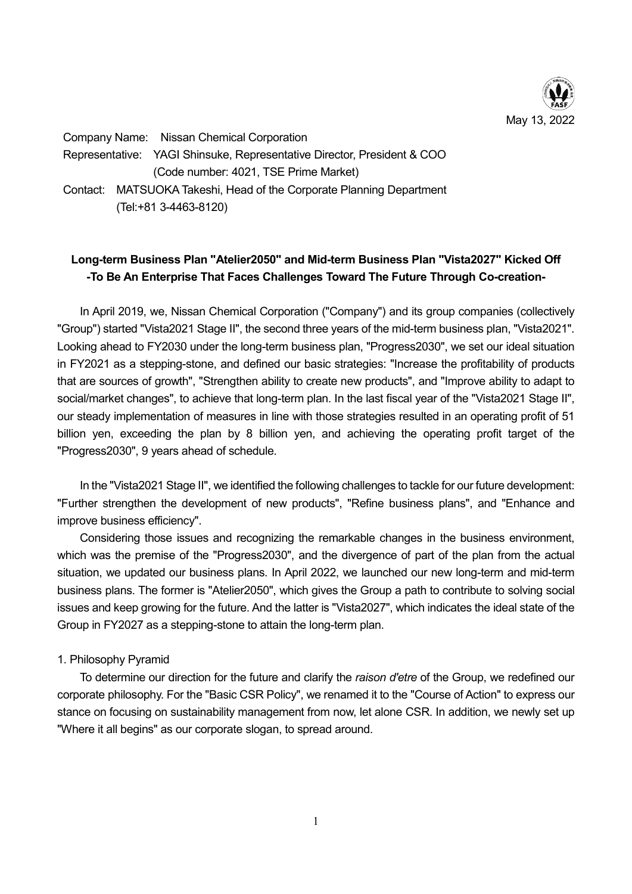

Company Name: Nissan Chemical Corporation Representative: YAGI Shinsuke, Representative Director, President & COO (Code number: 4021, TSE Prime Market) Contact: MATSUOKA Takeshi, Head of the Corporate Planning Department (Tel:+81 3-4463-8120)

# **Long-term Business Plan "Atelier2050" and Mid-term Business Plan "Vista2027" Kicked Off -To Be An Enterprise That Faces Challenges Toward The Future Through Co-creation-**

In April 2019, we, Nissan Chemical Corporation ("Company") and its group companies (collectively "Group") started "Vista2021 Stage II", the second three years of the mid-term business plan, "Vista2021". Looking ahead to FY2030 under the long-term business plan, "Progress2030", we set our ideal situation in FY2021 as a stepping-stone, and defined our basic strategies: "Increase the profitability of products that are sources of growth", "Strengthen ability to create new products", and "Improve ability to adapt to social/market changes", to achieve that long-term plan. In the last fiscal year of the "Vista2021 Stage II", our steady implementation of measures in line with those strategies resulted in an operating profit of 51 billion yen, exceeding the plan by 8 billion yen, and achieving the operating profit target of the "Progress2030", 9 years ahead of schedule.

In the "Vista2021 Stage II", we identified the following challenges to tackle for our future development: "Further strengthen the development of new products", "Refine business plans", and "Enhance and improve business efficiency".

Considering those issues and recognizing the remarkable changes in the business environment, which was the premise of the "Progress2030", and the divergence of part of the plan from the actual situation, we updated our business plans. In April 2022, we launched our new long-term and mid-term business plans. The former is "Atelier2050", which gives the Group a path to contribute to solving social issues and keep growing for the future. And the latter is "Vista2027", which indicates the ideal state of the Group in FY2027 as a stepping-stone to attain the long-term plan.

## 1. Philosophy Pyramid

To determine our direction for the future and clarify the *raison d'etre* of the Group, we redefined our corporate philosophy. For the "Basic CSR Policy", we renamed it to the "Course of Action" to express our stance on focusing on sustainability management from now, let alone CSR. In addition, we newly set up "Where it all begins" as our corporate slogan, to spread around.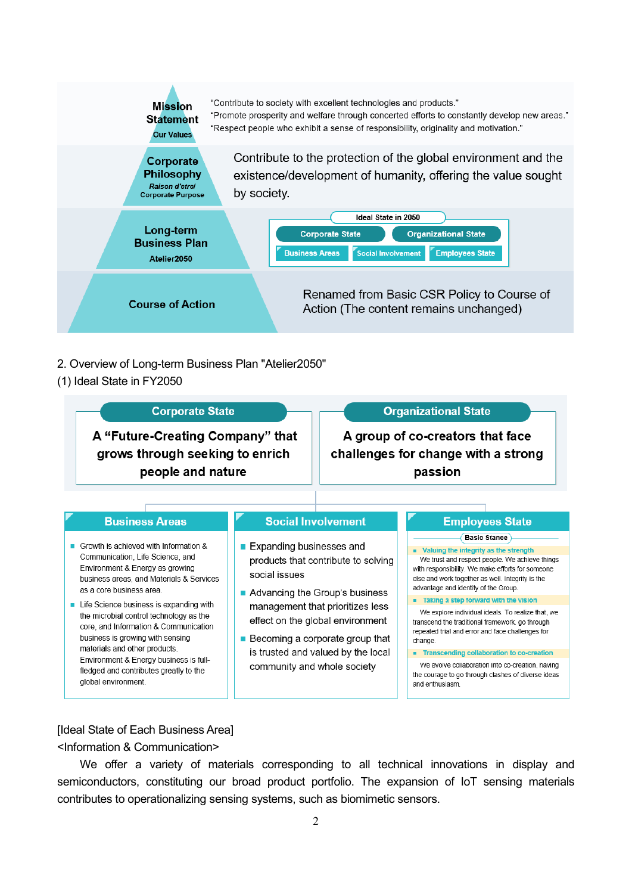

### 2. Overview of Long-term Business Plan "Atelier2050"

#### (1) Ideal State in FY2050

| <b>Corporate State</b>                                                                                                                                                                 |                                           | <b>Organizational State</b><br>A group of co-creators that face<br>challenges for change with a strong<br>passion |                                                                                                                                                                                                                                                                  |  |
|----------------------------------------------------------------------------------------------------------------------------------------------------------------------------------------|-------------------------------------------|-------------------------------------------------------------------------------------------------------------------|------------------------------------------------------------------------------------------------------------------------------------------------------------------------------------------------------------------------------------------------------------------|--|
| A "Future-Creating Company" that<br>grows through seeking to enrich<br>people and nature                                                                                               |                                           |                                                                                                                   |                                                                                                                                                                                                                                                                  |  |
|                                                                                                                                                                                        |                                           |                                                                                                                   |                                                                                                                                                                                                                                                                  |  |
| <b>Business Areas</b>                                                                                                                                                                  | <b>Social Involvement</b>                 |                                                                                                                   | <b>Employees State</b>                                                                                                                                                                                                                                           |  |
| ■ Growth is achieved with Information &<br>Communication, Life Science, and<br>Environment & Energy as growing<br>business areas, and Materials & Services<br>as a core business area. | Expanding businesses and<br>social issues | products that contribute to solving<br>Advancing the Group's business                                             | <b>Basic Stance</b><br>• Valuing the integrity as the strength<br>We trust and respect people. We achieve things<br>with responsibility. We make efforts for someone<br>else and work together as well. Integrity is the<br>advantage and identity of the Group. |  |
| ■ Life Science business is expanding with                                                                                                                                              |                                           |                                                                                                                   | <b>E</b> Taking a step forward with the vision                                                                                                                                                                                                                   |  |
| the microbial control technology as the<br>core, and Information & Communication<br>business is growing with sensing                                                                   |                                           | management that prioritizes less<br>effect on the global environment<br>Becoming a corporate group that           | We explore individual ideals. To realize that, we<br>transcend the traditional framework, go through<br>repeated trial and error and face challenges for<br>change.                                                                                              |  |
| materials and other products.                                                                                                                                                          |                                           | is trusted and valued by the local                                                                                | Transcending collaboration to co-creation                                                                                                                                                                                                                        |  |
| Environment & Energy business is full-<br>fledged and contributes greatly to the<br>global environment.                                                                                |                                           | community and whole society                                                                                       | We evolve collaboration into co-creation, having<br>the courage to go through clashes of diverse ideas<br>and enthusiasm.                                                                                                                                        |  |

## [Ideal State of Each Business Area] <Information & Communication>

We offer a variety of materials corresponding to all technical innovations in display and semiconductors, constituting our broad product portfolio. The expansion of IoT sensing materials contributes to operationalizing sensing systems, such as biomimetic sensors.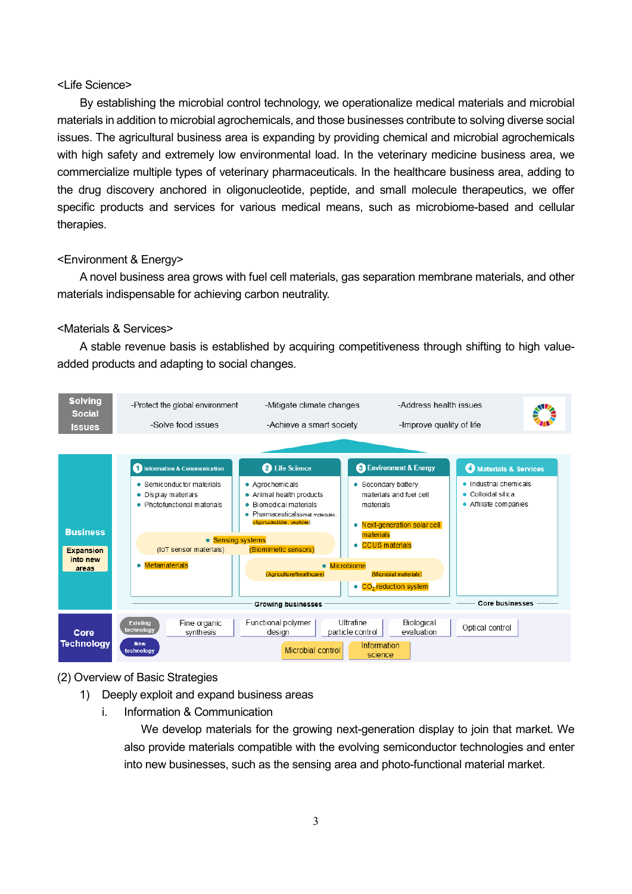#### <Life Science>

By establishing the microbial control technology, we operationalize medical materials and microbial materials in addition to microbial agrochemicals, and those businesses contribute to solving diverse social issues. The agricultural business area is expanding by providing chemical and microbial agrochemicals with high safety and extremely low environmental load. In the veterinary medicine business area, we commercialize multiple types of veterinary pharmaceuticals. In the healthcare business area, adding to the drug discovery anchored in oligonucleotide, peptide, and small molecule therapeutics, we offer specific products and services for various medical means, such as microbiome-based and cellular therapies.

#### <Environment & Energy>

A novel business area grows with fuel cell materials, gas separation membrane materials, and other materials indispensable for achieving carbon neutrality.

#### <Materials & Services>

A stable revenue basis is established by acquiring competitiveness through shifting to high valueadded products and adapting to social changes.



### (2) Overview of Basic Strategies

- 1) Deeply exploit and expand business areas
	- i. Information & Communication

We develop materials for the growing next-generation display to join that market. We also provide materials compatible with the evolving semiconductor technologies and enter into new businesses, such as the sensing area and photo-functional material market.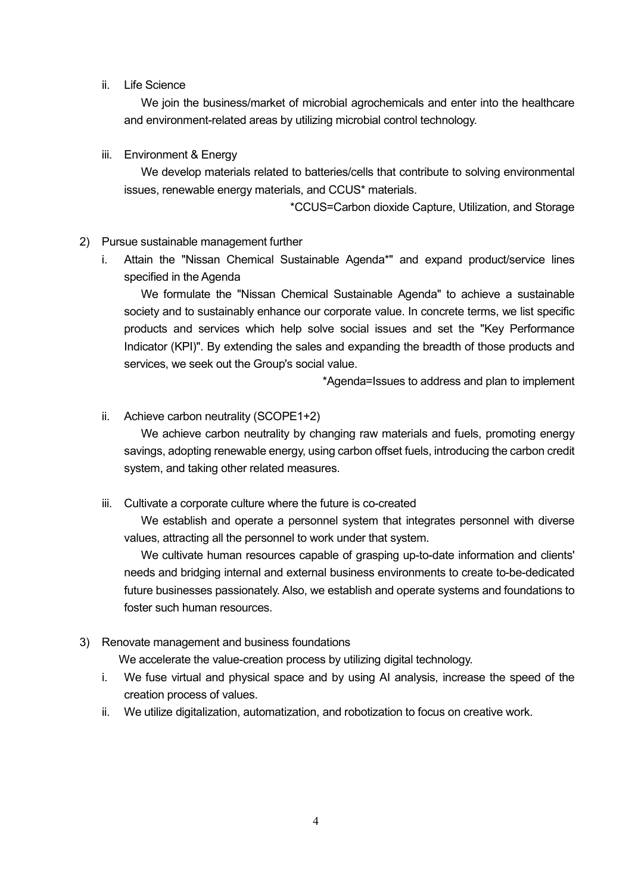### ii. Life Science

We join the business/market of microbial agrochemicals and enter into the healthcare and environment-related areas by utilizing microbial control technology.

iii. Environment & Energy

We develop materials related to batteries/cells that contribute to solving environmental issues, renewable energy materials, and CCUS\* materials.

\*CCUS=Carbon dioxide Capture, Utilization, and Storage

### 2) Pursue sustainable management further

i. Attain the "Nissan Chemical Sustainable Agenda\*" and expand product/service lines specified in the Agenda

We formulate the "Nissan Chemical Sustainable Agenda" to achieve a sustainable society and to sustainably enhance our corporate value. In concrete terms, we list specific products and services which help solve social issues and set the "Key Performance Indicator (KPI)". By extending the sales and expanding the breadth of those products and services, we seek out the Group's social value.

\*Agenda=Issues to address and plan to implement

ii. Achieve carbon neutrality (SCOPE1+2)

We achieve carbon neutrality by changing raw materials and fuels, promoting energy savings, adopting renewable energy, using carbon offset fuels, introducing the carbon credit system, and taking other related measures.

iii. Cultivate a corporate culture where the future is co-created

We establish and operate a personnel system that integrates personnel with diverse values, attracting all the personnel to work under that system.

We cultivate human resources capable of grasping up-to-date information and clients' needs and bridging internal and external business environments to create to-be-dedicated future businesses passionately. Also, we establish and operate systems and foundations to foster such human resources.

3) Renovate management and business foundations

We accelerate the value-creation process by utilizing digital technology.

- i. We fuse virtual and physical space and by using AI analysis, increase the speed of the creation process of values.
- ii. We utilize digitalization, automatization, and robotization to focus on creative work.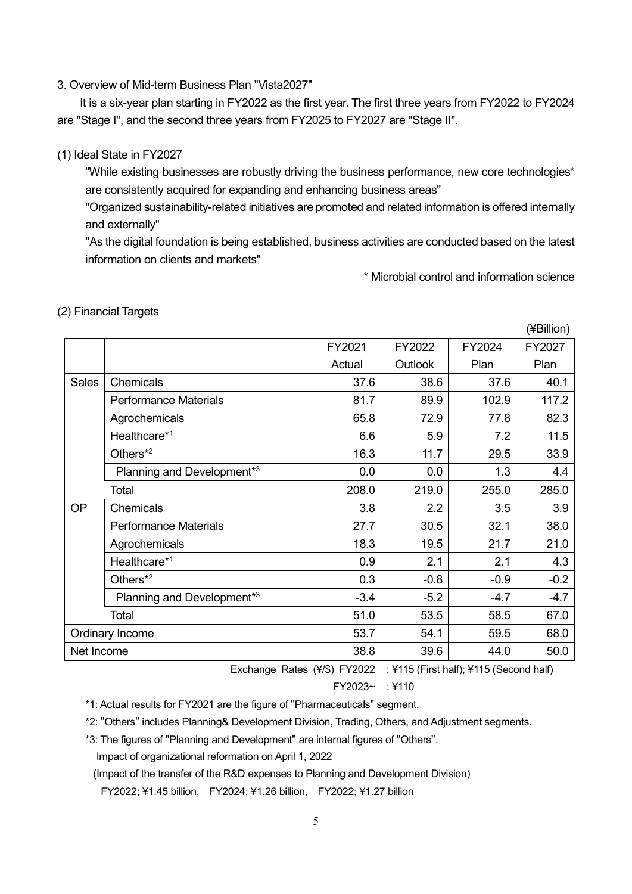### 3. Overview of Mid-term Business Plan "Vista2027"

It is a six-year plan starting in FY2022 as the first year. The first three years from FY2022 to FY2024 are "Stage I", and the second three years from FY2025 to FY2027 are "Stage II".

#### (1) Ideal State in FY2027

"While existing businesses are robustly driving the business performance, new core technologies\* are consistently acquired for expanding and enhancing business areas"

"Organized sustainability-related initiatives are promoted and related information is offered internally and externally"

"As the digital foundation is being established, business activities are conducted based on the latest information on clients and markets"

\* Microbial control and information science

|                 |                              |        |         |        | (¥Billion) |
|-----------------|------------------------------|--------|---------|--------|------------|
|                 |                              | FY2021 | FY2022  | FY2024 | FY2027     |
|                 |                              | Actual | Outlook | Plan   | Plan       |
| <b>Sales</b>    | Chemicals                    | 37.6   | 38.6    | 37.6   | 40.1       |
|                 | <b>Performance Materials</b> | 81.7   | 89.9    | 102.9  | 117.2      |
|                 | Agrochemicals                | 65.8   | 72.9    | 77.8   | 82.3       |
|                 | Healthcare*1                 | 6.6    | 5.9     | 7.2    | 11.5       |
|                 | Others $*2$                  | 16.3   | 11.7    | 29.5   | 33.9       |
|                 | Planning and Development*3   | 0.0    | 0.0     | 1.3    | 4.4        |
|                 | Total                        | 208.0  | 219.0   | 255.0  | 285.0      |
| <b>OP</b>       | Chemicals                    | 3.8    | 2.2     | 3.5    | 3.9        |
|                 | <b>Performance Materials</b> | 27.7   | 30.5    | 32.1   | 38.0       |
|                 | Agrochemicals                | 18.3   | 19.5    | 21.7   | 21.0       |
|                 | Healthcare*1                 | 0.9    | 2.1     | 2.1    | 4.3        |
|                 | Others $*^2$                 | 0.3    | $-0.8$  | $-0.9$ | $-0.2$     |
|                 | Planning and Development*3   | $-3.4$ | $-5.2$  | $-4.7$ | $-4.7$     |
|                 | Total                        | 51.0   | 53.5    | 58.5   | 67.0       |
| Ordinary Income |                              | 53.7   | 54.1    | 59.5   | 68.0       |
| Net Income      |                              | 38.8   | 39.6    | 44.0   | 50.0       |

#### (2) Financial Targets

Exchange Rates (¥/\$) FY2022 : ¥115 (First half); ¥115 (Second half)

FY2023~ : ¥110

\*1: Actual results for FY2021 are the figure of "Pharmaceuticals" segment.

\*2: "Others" includes Planning& Development Division, Trading, Others, and Adjustment segments.

\*3: The figures of "Planning and Development" are internal figures of "Others".

Impact of organizational reformation on April 1, 2022

(Impact of the transfer of the R&D expenses to Planning and Development Division)

FY2022; ¥1.45 billion, FY2024; ¥1.26 billion, FY2022; ¥1.27 billion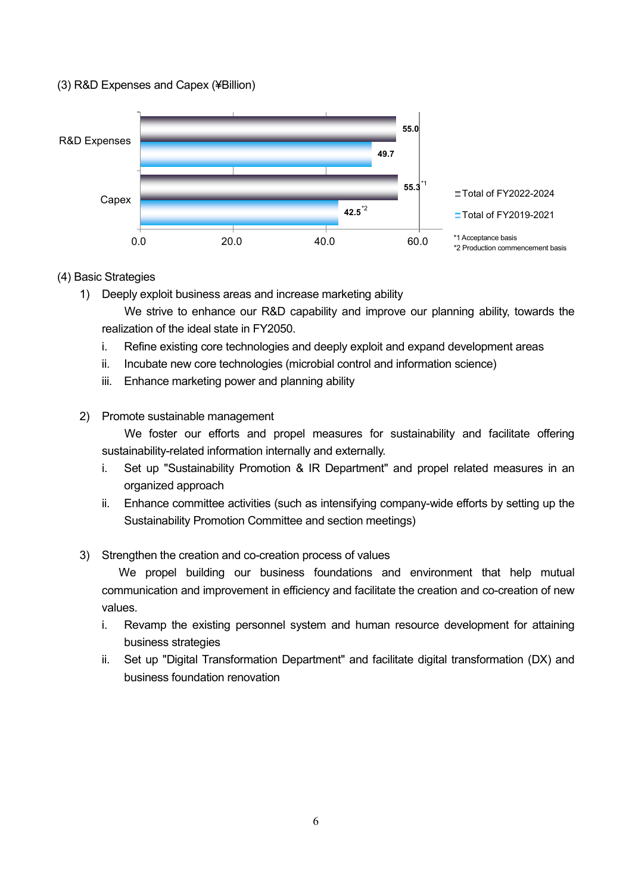### (3) R&D Expenses and Capex (¥Billion)



### (4) Basic Strategies

1) Deeply exploit business areas and increase marketing ability

We strive to enhance our R&D capability and improve our planning ability, towards the realization of the ideal state in FY2050.

- i. Refine existing core technologies and deeply exploit and expand development areas
- ii. Incubate new core technologies (microbial control and information science)
- iii. Enhance marketing power and planning ability
- 2) Promote sustainable management

We foster our efforts and propel measures for sustainability and facilitate offering sustainability-related information internally and externally.

- i. Set up "Sustainability Promotion & IR Department" and propel related measures in an organized approach
- ii. Enhance committee activities (such as intensifying company-wide efforts by setting up the Sustainability Promotion Committee and section meetings)

### 3) Strengthen the creation and co-creation process of values

We propel building our business foundations and environment that help mutual communication and improvement in efficiency and facilitate the creation and co-creation of new values.

- i. Revamp the existing personnel system and human resource development for attaining business strategies
- ii. Set up "Digital Transformation Department" and facilitate digital transformation (DX) and business foundation renovation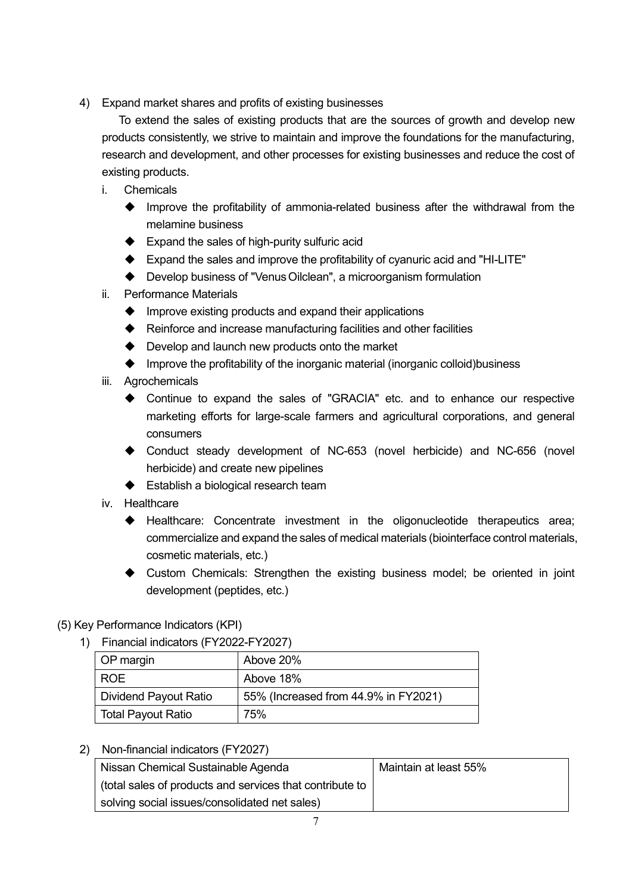4) Expand market shares and profits of existing businesses

To extend the sales of existing products that are the sources of growth and develop new products consistently, we strive to maintain and improve the foundations for the manufacturing, research and development, and other processes for existing businesses and reduce the cost of existing products.

- i. Chemicals
	- Improve the profitability of ammonia-related business after the withdrawal from the melamine business
	- ◆ Expand the sales of high-purity sulfuric acid
	- Expand the sales and improve the profitability of cyanuric acid and "HI-LITE"
	- ◆ Develop business of "Venus Oilclean", a microorganism formulation
- ii. Performance Materials
	- $\blacklozenge$  Improve existing products and expand their applications
	- ◆ Reinforce and increase manufacturing facilities and other facilities
	- ◆ Develop and launch new products onto the market
	- $\blacklozenge$  Improve the profitability of the inorganic material (inorganic colloid)business
- iii. Agrochemicals
	- Continue to expand the sales of "GRACIA" etc. and to enhance our respective marketing efforts for large-scale farmers and agricultural corporations, and general consumers
	- Conduct steady development of NC-653 (novel herbicide) and NC-656 (novel herbicide) and create new pipelines
	- ◆ Establish a biological research team
- iv. Healthcare
	- $\blacklozenge$  Healthcare: Concentrate investment in the oligonucleotide therapeutics area; commercialize and expand the sales of medical materials (biointerface control materials, cosmetic materials, etc.)
	- Custom Chemicals: Strengthen the existing business model; be oriented in joint development (peptides, etc.)
- (5) Key Performance Indicators (KPI)
	- 1) Financial indicators (FY2022-FY2027)

| OP margin             | Above 20%                            |
|-----------------------|--------------------------------------|
| <b>ROE</b>            | Above 18%                            |
| Dividend Payout Ratio | 55% (Increased from 44.9% in FY2021) |
| Total Payout Ratio    | 75%                                  |

2) Non-financial indicators (FY2027)

| Nissan Chemical Sustainable Agenda                       | Maintain at least 55% |  |
|----------------------------------------------------------|-----------------------|--|
| (total sales of products and services that contribute to |                       |  |
| solving social issues/consolidated net sales)            |                       |  |